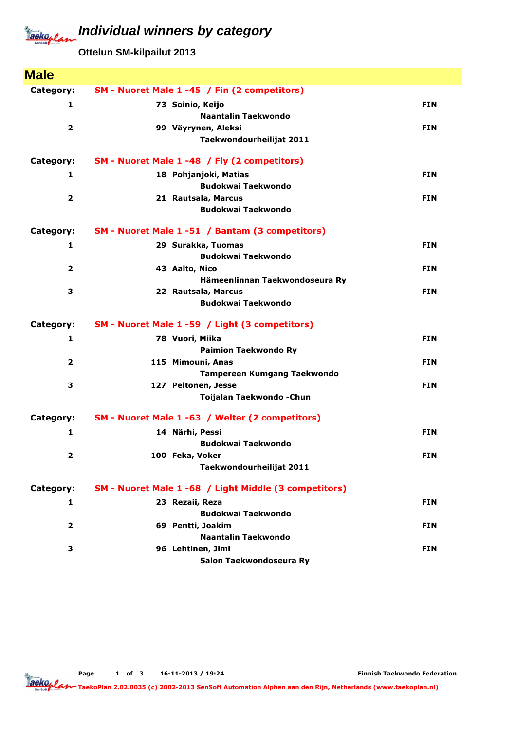## Jackoplan

## **Individual winners by category**

**Ottelun SM-kilpailut 2013**

| <b>Male</b>             |                                                       |            |
|-------------------------|-------------------------------------------------------|------------|
| Category:               | SM - Nuoret Male 1 -45 / Fin (2 competitors)          |            |
| 1                       | 73 Soinio, Keijo                                      | <b>FIN</b> |
|                         | Naantalin Taekwondo                                   |            |
| $\overline{\mathbf{2}}$ | 99 Väyrynen, Aleksi                                   | <b>FIN</b> |
|                         | Taekwondourheilijat 2011                              |            |
| Category:               | SM - Nuoret Male 1 -48 / Fly (2 competitors)          |            |
| 1                       | 18 Pohjanjoki, Matias                                 | <b>FIN</b> |
|                         | <b>Budokwai Taekwondo</b>                             |            |
| $\overline{\mathbf{2}}$ | 21 Rautsala, Marcus                                   | <b>FIN</b> |
|                         | <b>Budokwai Taekwondo</b>                             |            |
| Category:               | SM - Nuoret Male 1 -51 / Bantam (3 competitors)       |            |
| 1                       | 29 Surakka, Tuomas                                    | <b>FIN</b> |
|                         | <b>Budokwai Taekwondo</b>                             |            |
| $\overline{\mathbf{2}}$ | 43 Aalto, Nico                                        | <b>FIN</b> |
|                         | Hämeenlinnan Taekwondoseura Ry                        |            |
| 3                       | 22 Rautsala, Marcus                                   | <b>FIN</b> |
|                         | <b>Budokwai Taekwondo</b>                             |            |
| Category:               | SM - Nuoret Male 1 -59 / Light (3 competitors)        |            |
| 1                       | 78 Vuori, Miika                                       | <b>FIN</b> |
|                         | <b>Paimion Taekwondo Ry</b>                           |            |
| 2                       | 115 Mimouni, Anas                                     | <b>FIN</b> |
|                         | Tampereen Kumgang Taekwondo                           |            |
| 3                       | 127 Peltonen, Jesse                                   | <b>FIN</b> |
|                         | Toijalan Taekwondo - Chun                             |            |
| Category:               | SM - Nuoret Male 1 -63 / Welter (2 competitors)       |            |
| 1                       | 14 Närhi, Pessi                                       | <b>FIN</b> |
|                         | <b>Budokwai Taekwondo</b>                             |            |
| 2                       | 100 Feka, Voker                                       | <b>FIN</b> |
|                         | Taekwondourheilijat 2011                              |            |
| Category:               | SM - Nuoret Male 1 -68 / Light Middle (3 competitors) |            |
| 1                       | 23 Rezaii, Reza                                       | <b>FIN</b> |
|                         | <b>Budokwai Taekwondo</b>                             |            |
| $\overline{2}$          | 69 Pentti, Joakim                                     | <b>FIN</b> |
|                         | Naantalin Taekwondo                                   |            |
| 3                       | 96 Lehtinen, Jimi                                     | <b>FIN</b> |
|                         | Salon Taekwondoseura Ry                               |            |

Finnish Taekwondo Federation

TaekoPlan 2.02.0035 (c) 2002-2013 SenSoft Automation Alphen aan den Rijn, Netherlands (www.taekoplan.nl)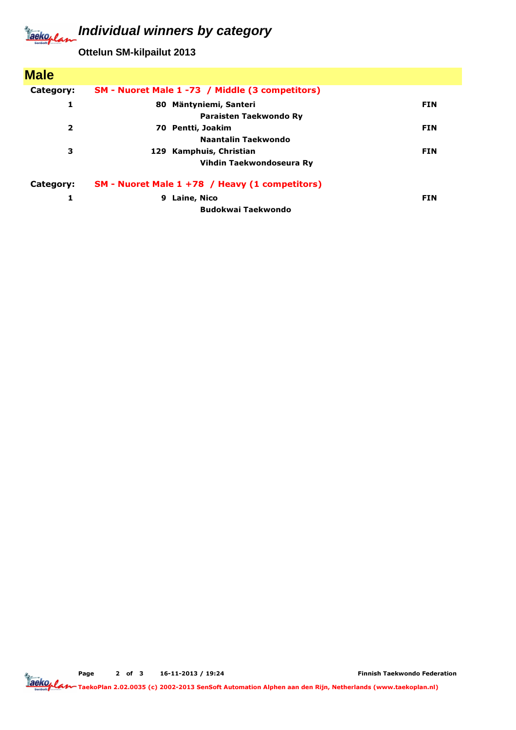#### **Individual winners by category** Jackoplan

**Ottelun SM-kilpailut 2013**

| <b>Male</b>             |                                                 |            |
|-------------------------|-------------------------------------------------|------------|
| Category:               | SM - Nuoret Male 1 -73 / Middle (3 competitors) |            |
| 1                       | 80 Mäntyniemi, Santeri                          | <b>FIN</b> |
|                         | Paraisten Taekwondo Ry                          |            |
| $\overline{\mathbf{2}}$ | 70 Pentti, Joakim                               | <b>FIN</b> |
|                         | Naantalin Taekwondo                             |            |
| з                       | 129 Kamphuis, Christian                         | <b>FIN</b> |
|                         | Vihdin Taekwondoseura Ry                        |            |
| Category:               | SM - Nuoret Male 1 +78 / Heavy (1 competitors)  |            |
| 1                       | Laine, Nico<br>9                                | <b>FIN</b> |
|                         | <b>Budokwai Taekwondo</b>                       |            |

Page 2 of 3 16-11-2013 / 19:24

Finnish Taekwondo Federation

TaekoPlan 2.02.0035 (c) 2002-2013 SenSoft Automation Alphen aan den Rijn, Netherlands (www.taekoplan.nl)